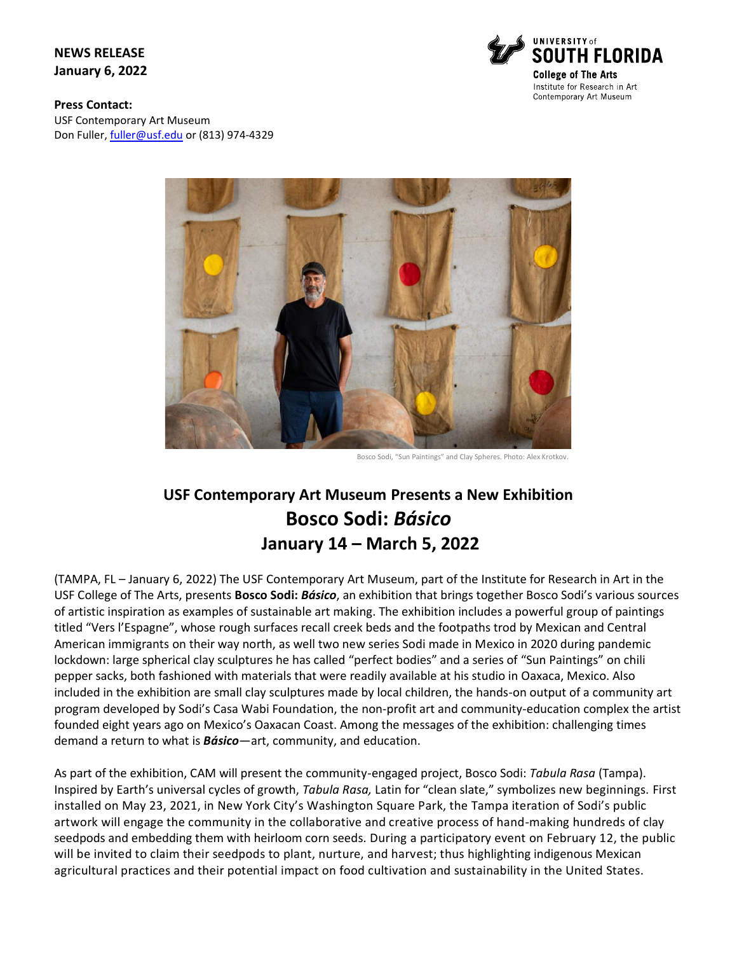**NEWS RELEASE January 6, 2022**



**Press Contact:**  USF Contemporary Art Museum Don Fuller[, fuller@usf.edu](mailto:fuller@usf.edu) or (813) 974-4329



Bosco Sodi, "Sun Paintings" and Clay Spheres. Photo: Alex Krotkov.

# **USF Contemporary Art Museum Presents a New Exhibition Bosco Sodi:** *Básico* **January 14 – March 5, 2022**

(TAMPA, FL – January 6, 2022) The USF Contemporary Art Museum, part of the Institute for Research in Art in the USF College of The Arts, presents **Bosco Sodi:** *Básico*, an exhibition that brings together Bosco Sodi's various sources of artistic inspiration as examples of sustainable art making. The exhibition includes a powerful group of paintings titled "Vers l'Espagne", whose rough surfaces recall creek beds and the footpaths trod by Mexican and Central American immigrants on their way north, as well two new series Sodi made in Mexico in 2020 during pandemic lockdown: large spherical clay sculptures he has called "perfect bodies" and a series of "Sun Paintings" on chili pepper sacks, both fashioned with materials that were readily available at his studio in Oaxaca, Mexico. Also included in the exhibition are small clay sculptures made by local children, the hands-on output of a community art program developed by Sodi's Casa Wabi Foundation, the non-profit art and community-education complex the artist founded eight years ago on Mexico's Oaxacan Coast. Among the messages of the exhibition: challenging times demand a return to what is *Básico*—art, community, and education.

As part of the exhibition, CAM will present the community-engaged project, Bosco Sodi: *Tabula Rasa* (Tampa). Inspired by Earth's universal cycles of growth, *Tabula Rasa,* Latin for "clean slate," symbolizes new beginnings. First installed on May 23, 2021, in New York City's Washington Square Park, the Tampa iteration of Sodi's public artwork will engage the community in the collaborative and creative process of hand-making hundreds of clay seedpods and embedding them with heirloom corn seeds. During a participatory event on February 12, the public will be invited to claim their seedpods to plant, nurture, and harvest; thus highlighting indigenous Mexican agricultural practices and their potential impact on food cultivation and sustainability in the United States.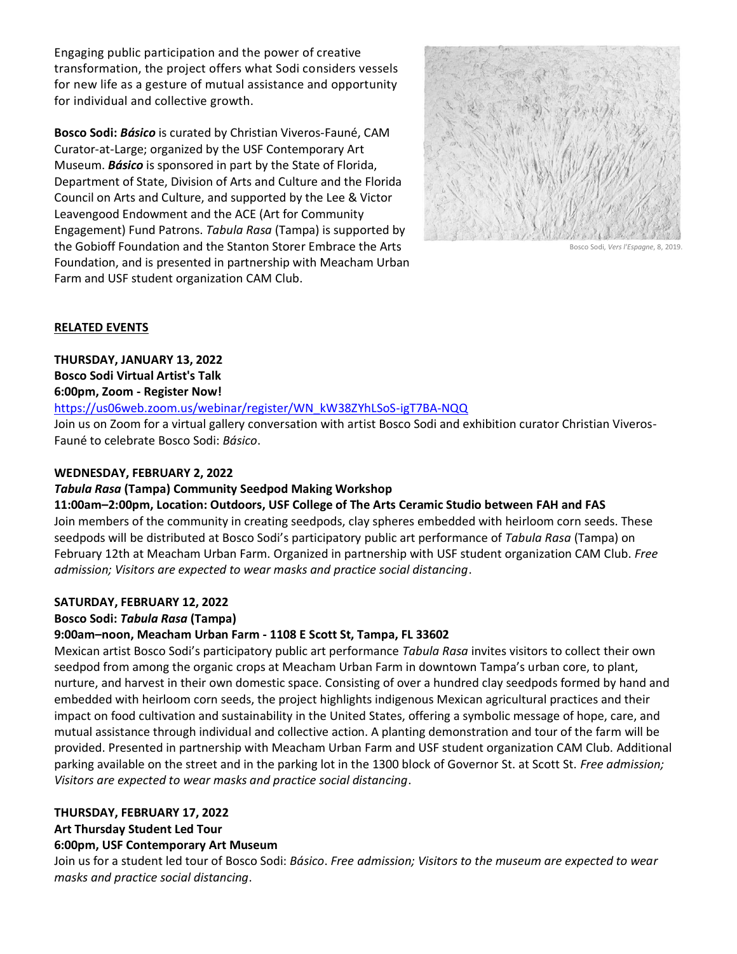Engaging public participation and the power of creative transformation, the project offers what Sodi considers vessels for new life as a gesture of mutual assistance and opportunity for individual and collective growth.

**Bosco Sodi:** *Básico* is curated by Christian Viveros-Fauné, CAM Curator-at-Large; organized by the USF Contemporary Art Museum. *Básico* is sponsored in part by the State of Florida, Department of State, Division of Arts and Culture and the Florida Council on Arts and Culture, and supported by the Lee & Victor Leavengood Endowment and the ACE (Art for Community Engagement) Fund Patrons. *Tabula Rasa* (Tampa) is supported by the Gobioff Foundation and the Stanton Storer Embrace the Arts Foundation, and is presented in partnership with Meacham Urban Farm and USF student organization CAM Club.



Bosco Sodi, *Vers l'Espagne*, 8, 2019.

#### **RELATED EVENTS**

**THURSDAY, JANUARY 13, 2022**

**Bosco Sodi Virtual Artist's Talk**

**6:00pm, Zoom - Register Now!**

[https://us06web.zoom.us/webinar/register/WN\\_kW38ZYhLSoS-igT7BA-NQQ](https://us06web.zoom.us/webinar/register/WN_kW38ZYhLSoS-igT7BA-NQQ)

Join us on Zoom for a virtual gallery conversation with artist Bosco Sodi and exhibition curator Christian Viveros-Fauné to celebrate Bosco Sodi: *Básico*.

## **WEDNESDAY, FEBRUARY 2, 2022**

## *Tabula Rasa* **(Tampa) Community Seedpod Making Workshop**

**11:00am–2:00pm, Location: Outdoors, USF College of The Arts Ceramic Studio between FAH and FAS** Join members of the community in creating seedpods, clay spheres embedded with heirloom corn seeds. These seedpods will be distributed at Bosco Sodi's participatory public art performance of *Tabula Rasa* (Tampa) on February 12th at Meacham Urban Farm. Organized in partnership with USF student organization CAM Club. *Free admission; Visitors are expected to wear masks and practice social distancing*.

## **SATURDAY, FEBRUARY 12, 2022**

# **Bosco Sodi:** *Tabula Rasa* **(Tampa)**

## **9:00am–noon, Meacham Urban Farm - 1108 E Scott St, Tampa, FL 33602**

Mexican artist Bosco Sodi's participatory public art performance *Tabula Rasa* invites visitors to collect their own seedpod from among the organic crops at Meacham Urban Farm in downtown Tampa's urban core, to plant, nurture, and harvest in their own domestic space. Consisting of over a hundred clay seedpods formed by hand and embedded with heirloom corn seeds, the project highlights indigenous Mexican agricultural practices and their impact on food cultivation and sustainability in the United States, offering a symbolic message of hope, care, and mutual assistance through individual and collective action. A planting demonstration and tour of the farm will be provided. Presented in partnership with Meacham Urban Farm and USF student organization CAM Club. Additional parking available on the street and in the parking lot in the 1300 block of Governor St. at Scott St. *Free admission; Visitors are expected to wear masks and practice social distancing*.

## **THURSDAY, FEBRUARY 17, 2022**

## **Art Thursday Student Led Tour**

## **6:00pm, USF Contemporary Art Museum**

Join us for a student led tour of Bosco Sodi: *Básico*. *Free admission; Visitors to the museum are expected to wear masks and practice social distancing*.